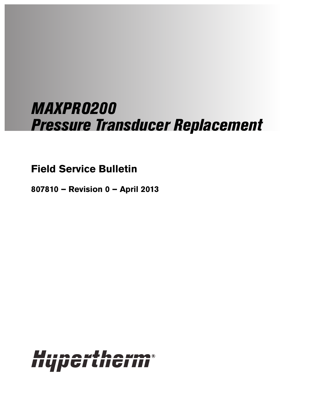# MAXPRO200 Pressure Transducer Replacement

## **Field Service Bulletin**

**807810 – Revision 0 – April 2013**

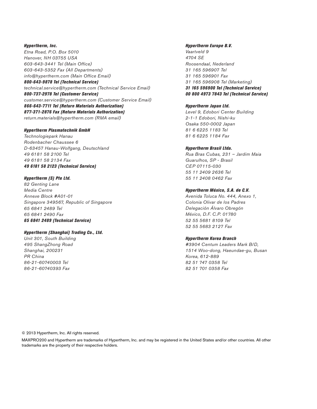Hypertherm, Inc. Etna Road, P.O. Box 5010 Hanover, NH 03755 USA 603-643-3441 Tel (Main Office) 603-643-5352 Fax (All Departments) info@hypertherm.com (Main Office Email) 800-643-9878 Tel (Technical Service)

technical.service@hypertherm.com (Technical Service Email) 800-737-2978 Tel (Customer Service) customer.service@hypertherm.com (Customer Service Email) 866-643-7711 Tel (Return Materials Authorization) 877-371-2876 Fax (Return Materials Authorization) return.materials@hypertherm.com (RMA email)

#### Hypertherm Plasmatechnik GmbH

Technologiepark Hanau Rodenbacher Chaussee 6 D-63457 Hanau-Wolfgang, Deutschland 49 6181 58 2100 Tel 49 6181 58 2134 Fax 49 6181 58 2123 (Technical Service)

#### Hypertherm (S) Pte Ltd.

82 Genting Lane Media Centre Annexe Block #A01-01 Singapore 349567, Republic of Singapore 65 6841 2489 Tel 65 6841 2490 Fax 65 6841 2489 (Technical Service)

#### Hypertherm (Shanghai) Trading Co., Ltd.

Unit 301, South Building 495 ShangZhong Road Shanghai, 200231 PR China 86-21-60740003 Tel 86-21-60740393 Fax

#### Hypertherm Europe B.V.

Vaartveld 9 4704 SE Roosendaal, Nederland 31 165 596907 Tel 31 165 596901 Fax 31 165 596908 Tel (Marketing) 31 165 596900 Tel (Technical Service) 00 800 4973 7843 Tel (Technical Service)

#### Hypertherm Japan Ltd.

Level 9, Edobori Center Building 2-1-1 Edobori, Nishi-ku Osaka 550-0002 Japan 81 6 6225 1183 Tel 81 6 6225 1184 Fax

#### Hypertherm Brasil Ltda.

Rua Bras Cubas, 231 – Jardim Maia Guarulhos, SP - Brasil CEP 07115-030 55 11 2409 2636 Tel 55 11 2408 0462 Fax

#### Hypertherm México, S.A. de C.V.

Avenida Toluca No. 444, Anexo 1, Colonia Olivar de los Padres Delegación Álvaro Obregón México, D.F. C.P. 01780 52 55 5681 8109 Tel 52 55 5683 2127 Fax

#### Hypertherm Korea Branch

#3904 Centum Leaders Mark B/D, 1514 Woo-dong, Haeundae-gu, Busan Korea, 612-889 82 51 747 0358 Tel 82 51 701 0358 Fax

© 2013 Hypertherm, Inc. All rights reserved.

MAXPRO200 and Hypertherm are trademarks of Hypertherm, Inc. and may be registered in the United States and/or other countries. All other trademarks are the property of their respective holders.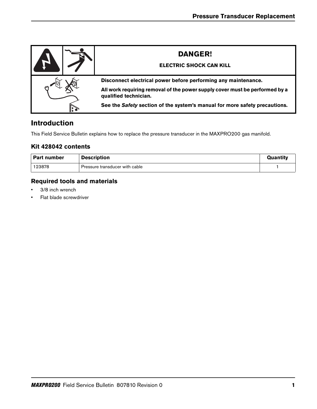| <b>DANGER!</b><br><b>ELECTRIC SHOCK CAN KILL</b>                                                     |
|------------------------------------------------------------------------------------------------------|
| Disconnect electrical power before performing any maintenance.                                       |
| All work requiring removal of the power supply cover must be performed by a<br>qualified technician. |
| See the Safety section of the system's manual for more safety precautions.                           |

## **Introduction**

This Field Service Bulletin explains how to replace the pressure transducer in the MAXPRO200 gas manifold.

### **Kit 428042 contents**

| <b>Part number</b> | <b>Description</b>             | Quantity |
|--------------------|--------------------------------|----------|
| 123878             | Pressure transducer with cable |          |

## **Required tools and materials**

- 3/8 inch wrench
- Flat blade screwdriver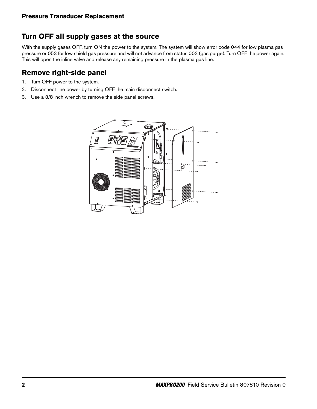## **Turn OFF all supply gases at the source**

With the supply gases OFF, turn ON the power to the system. The system will show error code 044 for low plasma gas pressure or 053 for low shield gas pressure and will not advance from status 002 (gas purge). Turn OFF the power again. This will open the inline valve and release any remaining pressure in the plasma gas line.

## **Remove right-side panel**

- 1. Turn OFF power to the system.
- 2. Disconnect line power by turning OFF the main disconnect switch.
- 3. Use a 3/8 inch wrench to remove the side panel screws.

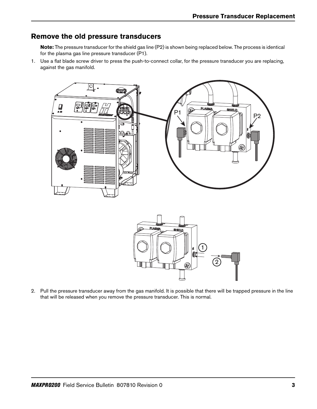## **Remove the old pressure transducers**

**Note:** The pressure transducer for the shield gas line (P2) is shown being replaced below. The process is identical for the plasma gas line pressure transducer (P1).

1. Use a flat blade screw driver to press the push-to-connect collar, for the pressure transducer you are replacing, against the gas manifold.





2. Pull the pressure transducer away from the gas manifold. It is possible that there will be trapped pressure in the line that will be released when you remove the pressure transducer. This is normal.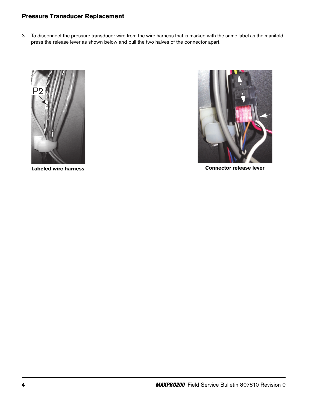3. To disconnect the pressure transducer wire from the wire harness that is marked with the same label as the manifold, press the release lever as shown below and pull the two halves of the connector apart.





**Labeled wire harness Connector release lever**